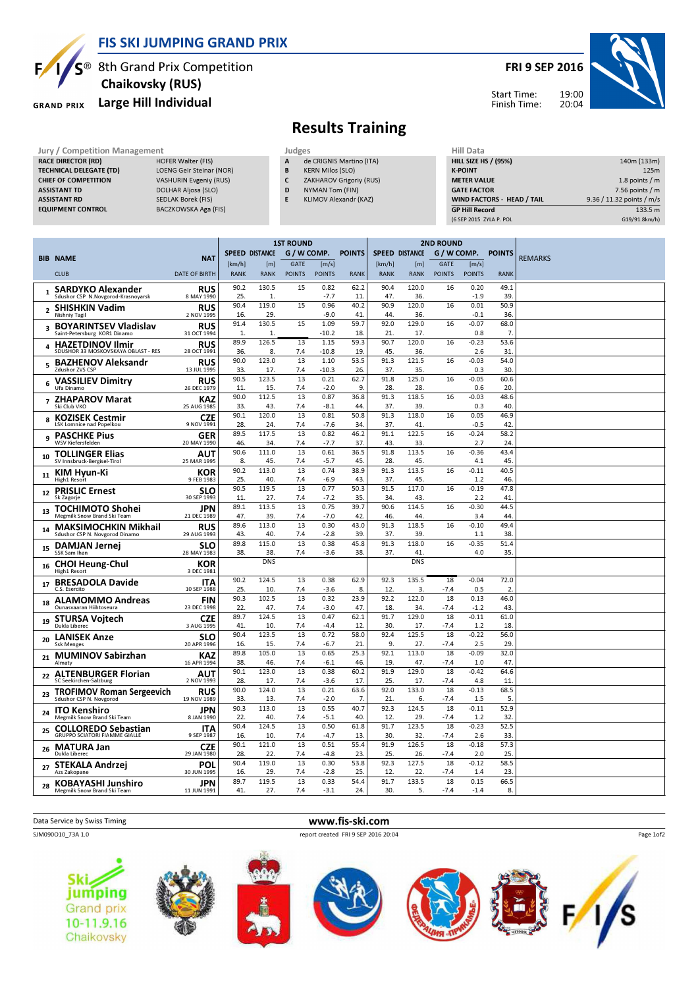

### FIS SKI JUMPING GRAND PRIX

Chaikovsky (RUS)

TECHNICAL DELEGATE (TD) LOENG Geir Steinar (NOR) CHIEF OF COMPETITION VASHURIN Evgeniy (RUS) ASSISTANT TD DOLHAR Aljosa (SLO) ASSISTANT RD SEDLAK Borek (FIS)<br>
EQUIPMENT CONTROL BACZKOWSKA Aga (

**GRAND PRIX** 

RACE DIRECTOR (RD)

# S<sup>®</sup> 8th Grand Prix Competition

Large Hill Individual

BACZKOWSKA Aga (FIS)

FRI 9 SEP 2016

Start Time: Finish Time:



## Results Training

Jury / Competition Management Judges<br>
RACE DIRECTOR (RD) HOFER Walter (FIS) A de

- de CRIGNIS Martino (ITA) **B** KERN Milos (SLO)
- C ZAKHAROV Grigoriy (RUS)
- D NYMAN Tom (FIN)
- E KLIMOV Alexandr (KAZ)
	-

| 140m (133m)               |
|---------------------------|
| 125m                      |
| 1.8 points $/m$           |
| 7.56 points $/m$          |
| 9.36 / 11.32 points / m/s |
| 133.5 m                   |
| G19/91.8km/h)             |
|                           |

|                                                                                                    |                                          | <b>1ST ROUND</b>      |                     |                              |                          | <b>2ND ROUND</b>  |                       |                    |                              |                        |                  |                |
|----------------------------------------------------------------------------------------------------|------------------------------------------|-----------------------|---------------------|------------------------------|--------------------------|-------------------|-----------------------|--------------------|------------------------------|------------------------|------------------|----------------|
| <b>BIB NAME</b>                                                                                    | <b>NAT</b>                               | <b>SPEED DISTANCE</b> |                     | G / W COMP.                  |                          | <b>POINTS</b>     | <b>SPEED DISTANCE</b> |                    | G / W COMP.                  |                        | <b>POINTS</b>    | <b>REMARKS</b> |
| <b>CLUB</b>                                                                                        | <b>DATE OF BIRTH</b>                     | [km/h]<br><b>RANK</b> | [m]<br><b>RANK</b>  | <b>GATE</b><br><b>POINTS</b> | [m/s]<br><b>POINTS</b>   | <b>RANK</b>       | [km/h]<br><b>RANK</b> | [m]<br><b>RANK</b> | <b>GATE</b><br><b>POINTS</b> | [m/s]<br><b>POINTS</b> | <b>RANK</b>      |                |
| 1 SARDYKO Alexander<br>Sdushor CSP N.Novgorod-Krasnoyarsk                                          | <b>RUS</b><br>8 MAY 1990                 | 90.2<br>25.           | 130.5<br>1.         | 15                           | 0.82<br>$-7.7$           | 62.2<br>11        | 90.4<br>47.           | 120.0<br>36.       | 16                           | 0.20<br>$-1.9$         | 49.1<br>39       |                |
| 2 SHISHKIN Vadim                                                                                   | <b>RUS</b>                               | 90.4                  | 119.0               | 15                           | 0.96                     | 40.2              | 90.9                  | 120.0              | 16                           | 0.01                   | 50.9             |                |
| Nishniy Tagil                                                                                      | 2 NOV 1995                               | 16.<br>91.4           | 29.<br>130.5        | 15                           | $-9.0$<br>1.09           | 41<br>59.7        | 44.<br>92.0           | 36.<br>129.0       | 16                           | $-0.1$<br>$-0.07$      | 36<br>68.0       |                |
| <b>BOYARINTSEV Vladislav</b><br>Saint-Petersburg KOR1 Dinamo                                       | <b>RUS</b><br>31 OCT 1994                | $\mathbf{1}$          | $\mathbf{1}$        |                              | $-10.2$                  | 18.               | 21                    | 17.                |                              | 0.8                    | 7.               |                |
| <b>HAZETDINOV Ilmir</b><br>4<br>SDUSHOR 33 MOSKOVSKAYA OBLAST - RES                                | <b>RUS</b><br>28 OCT 1991                | 89.9<br>36.           | 126.5<br>8.         | 13<br>7.4                    | 1.15<br>$-10.8$          | 59.3<br>19        | 90.7<br>45.           | 120.0<br>36.       | 16                           | $-0.23$<br>2.6         | 53.6<br>31       |                |
| <b>BAZHENOV Aleksandr</b><br>5<br>Zdushor ZVS CSP                                                  | <b>RUS</b><br>13 JUL 1995                | 90.0<br>33.           | 123.0<br>17.        | 13<br>7.4                    | 1.10<br>$-10.3$          | 53.5<br>26.       | 91.3<br>37.           | 121.5<br>35.       | 16                           | $-0.03$<br>0.3         | 54.0<br>30       |                |
| <b>VASSILIEV Dimitry</b><br>6<br>Ufa Dinamo                                                        | <b>RUS</b><br>26 DEC 1979                | 90.5<br>11            | 123.5<br>15.        | 13<br>7.4                    | 0.21<br>$-2.0$           | 62.7<br>9.        | 91.8<br>28.           | 125.0<br>28        | 16                           | $-0.05$<br>0.6         | 60.6<br>20       |                |
| <b>ZHAPAROV Marat</b><br>$\overline{7}$<br>Ski Club VKO                                            | <b>KAZ</b><br>25 AUG 1985                | 90.0<br>33.           | 112.5<br>43.        | 13<br>7.4                    | 0.87<br>$-8.1$           | 36.8<br>44.       | 91.3<br>37.           | 118.5<br>39        | 16                           | $-0.03$<br>0.3         | 48.6<br>40       |                |
| <b>KOZISEK Cestmir</b><br>8<br>LSK Lomnice nad Popelkou                                            | <b>CZE</b><br>9 NOV 1991                 | 90.1<br>28.           | 120.0<br>24.        | 13<br>7.4                    | 0.81<br>$-7.6$           | 50.8<br>34.       | 91.3<br>37.           | 118.0<br>41        | 16                           | 0.05<br>$-0.5$         | 46.9<br>42       |                |
| <b>PASCHKE Pius</b><br>9<br><b>WSV Kiefersfelden</b>                                               | <b>GER</b><br>20 MAY 1990                | 89.5<br>46.           | 117.5<br>34.        | 13<br>7.4                    | 0.82<br>$-7.7$           | 46.2<br>37.       | 91.1<br>43.           | 122.5<br>33        | 16                           | $-0.24$<br>2.7         | 58.2<br>24       |                |
| <b>TOLLINGER Elias</b><br>10<br>SV Innsbruck-Bergisel-Tiro                                         | AUT<br>25 MAR 1995                       | 90.6<br>8.            | 111.0<br>45.        | 13<br>7.4                    | 0.61<br>$-5.7$           | 36.5<br>45.       | 91.8<br>28.           | 113.5<br>45        | 16                           | $-0.36$<br>4.1         | 43.4<br>45.      |                |
| KIM Hvun-Ki<br>11<br>High1 Resort                                                                  | KOR<br>9 FEB 1983                        | 90.2<br>25.           | 113.0<br>40.        | $\overline{13}$<br>7.4       | 0.74<br>$-6.9$           | 38.9<br>43.       | 91.3<br>37.           | 113.5<br>45.       | 16                           | $-0.11$<br>1.2         | 40.5<br>46       |                |
| <b>PRISLIC Ernest</b><br>12                                                                        | <b>SLO</b><br>30 SEP 1993                | 90.5<br>11.           | 119.5<br>27.        | 13<br>7.4                    | 0.77<br>$-7.2$           | 50.3<br>35.       | 91.5<br>34.           | 117.0<br>43.       | 16                           | $-0.19$<br>2.2         | 47.8<br>41       |                |
| Sk Zagorje<br><b>TOCHIMOTO Shohei</b><br>13                                                        | JPN                                      | 89.1                  | 113.5               | 13                           | 0.75                     | 39.7              | 90.6                  | 114.5              | 16                           | $-0.30$                | 44.5             |                |
| Megmilk Snow Brand Ski Team<br><b>MAKSIMOCHKIN Mikhail</b><br>14<br>Sdushor CSP N. Novgorod Dinamo | 21 DEC 1989<br><b>RUS</b><br>29 AUG 1993 | 47.<br>89.6<br>43.    | 39.<br>113.0<br>40. | 7.4<br>13<br>7.4             | $-7.0$<br>0.30<br>$-2.8$ | 42<br>43.0<br>39. | 46.<br>91.3<br>37.    | 44<br>118.5<br>39  | 16                           | 3.4<br>$-0.10$<br>1.1  | 44<br>49.4<br>38 |                |
| <b>DAMJAN Jernej</b><br>15<br>SSK Sam Ihan                                                         | <b>SLO</b><br>28 MAY 1983                | 89.8<br>38.           | 115.0<br>38.        | 13<br>7.4                    | 0.38<br>$-3.6$           | 45.8<br>38.       | 91.3<br>37.           | 118.0<br>41        | 16                           | $-0.35$<br>4.0         | 51.4<br>35.      |                |
| <b>CHOI Heung-Chul</b><br>16                                                                       | KOR<br>3 DEC 1981                        |                       | <b>DNS</b>          |                              |                          |                   |                       | <b>DNS</b>         |                              |                        |                  |                |
| High1 Resort<br><b>BRESADOLA Davide</b><br>17<br>C.S. Esercito                                     | <b>ITA</b><br>10 SEP 1988                | 90.2<br>25.           | 124.5<br>10.        | 13<br>7.4                    | 0.38<br>$-3.6$           | 62.9<br>8.        | 92.3<br>12.           | 135.5<br>3.        | 18<br>$-7.4$                 | $-0.04$<br>0.5         | 72.0<br>2        |                |
| <b>ALAMOMMO Andreas</b><br>18<br>Qunasyaaran Hiihtoseura                                           | <b>FIN</b>                               | 90.3                  | 102.5               | 13                           | 0.32                     | 23.9              | 92.2                  | 122.0              | 18                           | 0.13                   | 46.0             |                |
| <b>STURSA Voitech</b><br>19                                                                        | 23 DEC 1998<br><b>CZE</b>                | 22.<br>89.7<br>41.    | 47.<br>124.5        | 7.4<br>13<br>7.4             | $-3.0$<br>0.47           | 47.<br>62.1       | 18.<br>91.7<br>30.    | 34<br>129.0        | $-7.4$<br>18<br>$-7.4$       | $-1.2$<br>$-0.11$      | 43<br>61.0<br>18 |                |
| Dukla Liberec<br><b>LANISEK Anze</b><br>20                                                         | 3 AUG 1995<br><b>SLO</b>                 | 90.4                  | 10.<br>123.5        | 13                           | $-4.4$<br>0.72           | 12.<br>58.0       | 92.4                  | 17.<br>125.5       | 18                           | 1.2<br>$-0.22$         | 56.0             |                |
| <b>Ssk Menges</b><br><b>MUMINOV Sabirzhan</b><br>21                                                | 20 APR 1996<br><b>KAZ</b>                | 16.<br>89.8           | 15.<br>105.0        | 7.4<br>13                    | $-6.7$<br>0.65           | 21<br>25.3        | 9.<br>92.1            | 27.<br>113.0       | $-7.4$<br>18                 | 2.5<br>$-0.09$         | 29<br>32.0       |                |
| Almaty<br><b>ALTENBURGER Florian</b>                                                               | 16 APR 1994<br>AUT                       | 38.<br>90.1           | 46.<br>123.0        | 7.4<br>13                    | $-6.1$<br>0.38           | 46.<br>60.2       | 19<br>91.9            | 47.<br>129.0       | $-7.4$<br>18                 | 1.0<br>$-0.42$         | 47<br>64.6       |                |
| 22<br>SC Seekirchen-Salzburg                                                                       | 2 NOV 1993                               | 28.<br>90.0           | 17.<br>124.0        | 7.4<br>13                    | $-3.6$<br>0.21           | 17.<br>63.6       | 25.<br>92.0           | 17.<br>133.0       | $-7.4$<br>18                 | 4.8<br>$-0.13$         | 11<br>68.5       |                |
| <b>TROFIMOV Roman Sergeevich</b><br>23<br>Sdushor CSP N. Novgorod                                  | <b>RUS</b><br>19 NOV 1989                | 33.                   | 13.                 | 7.4                          | $-2.0$                   | 7.                | 21                    | 6.                 | $-7.4$                       | 1.5                    | 5                |                |
| <b>ITO Kenshiro</b><br>24<br>Megmilk Snow Brand Ski Team                                           | JPN<br>8 JAN 1990                        | 90.3<br>22.           | 113.0<br>40.        | 13<br>7.4                    | 0.55<br>$-5.1$           | 40.7<br>40.       | 92.3<br>12.           | 124.5<br>29        | 18<br>$-7.4$                 | $-0.11$<br>1.2         | 52.9<br>32       |                |
| <b>COLLOREDO Sebastian</b><br>25<br><b>GRUPPO SCIATORI FIAMME GIALLE</b>                           | <b>ITA</b><br>9 SEP 1987                 | 90.4<br>16.           | 124.5<br>10.        | 13<br>7.4                    | 0.50<br>$-4.7$           | 61.8<br>13.       | 91.7<br>30.           | 123.5<br>32        | 18<br>$-7.4$                 | $-0.23$<br>2.6         | 52.5<br>33       |                |
| <b>MATURA Jan</b><br>26<br>Dukla Liberec                                                           | <b>CZE</b><br>29 JAN 1980                | 90.1<br>28.           | 121.0<br>22.        | 13<br>7.4                    | 0.51<br>$-4.8$           | 55.4<br>23.       | 91.9<br>25.           | 126.5<br>26.       | 18<br>$-7.4$                 | $-0.18$<br>2.0         | 57.3<br>25.      |                |
| <b>STEKALA Andrzej</b><br>27<br>Azs Zakopane                                                       | POL<br>30 JUN 1995                       | 90.4<br>16.           | 119.0<br>29.        | 13<br>7.4                    | 0.30<br>$-2.8$           | 53.8<br>25        | 92.3<br>12.           | 127.5<br>22.       | 18<br>$-7.4$                 | $-0.12$<br>1.4         | 58.5<br>23       |                |
| <b>KOBAYASHI Junshiro</b><br>28<br>Megmilk Snow Brand Ski Team                                     | <b>JPN</b><br>11 JUN 1991                | 89.7<br>41.           | 119.5<br>27.        | 13<br>7.4                    | 0.33<br>$-3.1$           | 54.4<br>24.       | 91.7<br>30.           | 133.5<br>5.        | 18<br>$-7.4$                 | 0.15<br>$-1.4$         | 66.5<br>8.       |                |

SJM090O10\_73A 1.0 report created FRI 9 SEP 2016 20:04

Data Service by Swiss Timing **www.fis-ski.com** 



Page 1of2